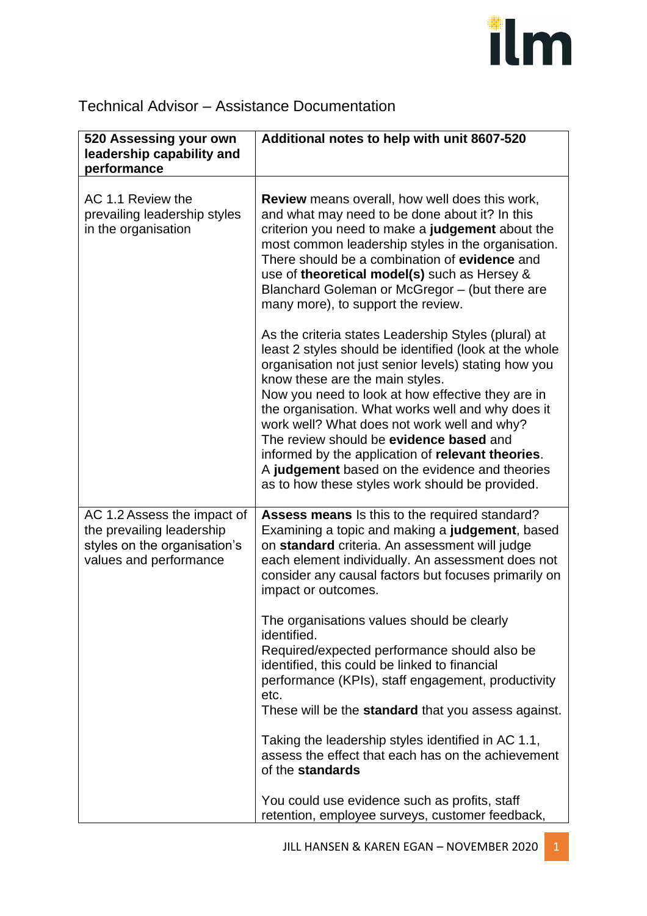## ilm

## Technical Advisor – Assistance Documentation

| 520 Assessing your own                                                                                             | Additional notes to help with unit 8607-520                                                                                                                                                                                                                                                                                                                                                                                                                                                                                                                             |
|--------------------------------------------------------------------------------------------------------------------|-------------------------------------------------------------------------------------------------------------------------------------------------------------------------------------------------------------------------------------------------------------------------------------------------------------------------------------------------------------------------------------------------------------------------------------------------------------------------------------------------------------------------------------------------------------------------|
| leadership capability and<br>performance                                                                           |                                                                                                                                                                                                                                                                                                                                                                                                                                                                                                                                                                         |
| AC 1.1 Review the<br>prevailing leadership styles<br>in the organisation                                           | <b>Review</b> means overall, how well does this work,<br>and what may need to be done about it? In this<br>criterion you need to make a judgement about the<br>most common leadership styles in the organisation.<br>There should be a combination of evidence and<br>use of theoretical model(s) such as Hersey &<br>Blanchard Goleman or McGregor - (but there are<br>many more), to support the review.                                                                                                                                                              |
|                                                                                                                    | As the criteria states Leadership Styles (plural) at<br>least 2 styles should be identified (look at the whole<br>organisation not just senior levels) stating how you<br>know these are the main styles.<br>Now you need to look at how effective they are in<br>the organisation. What works well and why does it<br>work well? What does not work well and why?<br>The review should be evidence based and<br>informed by the application of relevant theories.<br>A judgement based on the evidence and theories<br>as to how these styles work should be provided. |
| AC 1.2 Assess the impact of<br>the prevailing leadership<br>styles on the organisation's<br>values and performance | Assess means Is this to the required standard?<br>Examining a topic and making a judgement, based<br>on standard criteria. An assessment will judge<br>each element individually. An assessment does not<br>consider any causal factors but focuses primarily on<br>impact or outcomes.                                                                                                                                                                                                                                                                                 |
|                                                                                                                    | The organisations values should be clearly<br>identified.<br>Required/expected performance should also be<br>identified, this could be linked to financial<br>performance (KPIs), staff engagement, productivity<br>etc.<br>These will be the <b>standard</b> that you assess against.                                                                                                                                                                                                                                                                                  |
|                                                                                                                    | Taking the leadership styles identified in AC 1.1,<br>assess the effect that each has on the achievement<br>of the standards                                                                                                                                                                                                                                                                                                                                                                                                                                            |
|                                                                                                                    | You could use evidence such as profits, staff<br>retention, employee surveys, customer feedback,                                                                                                                                                                                                                                                                                                                                                                                                                                                                        |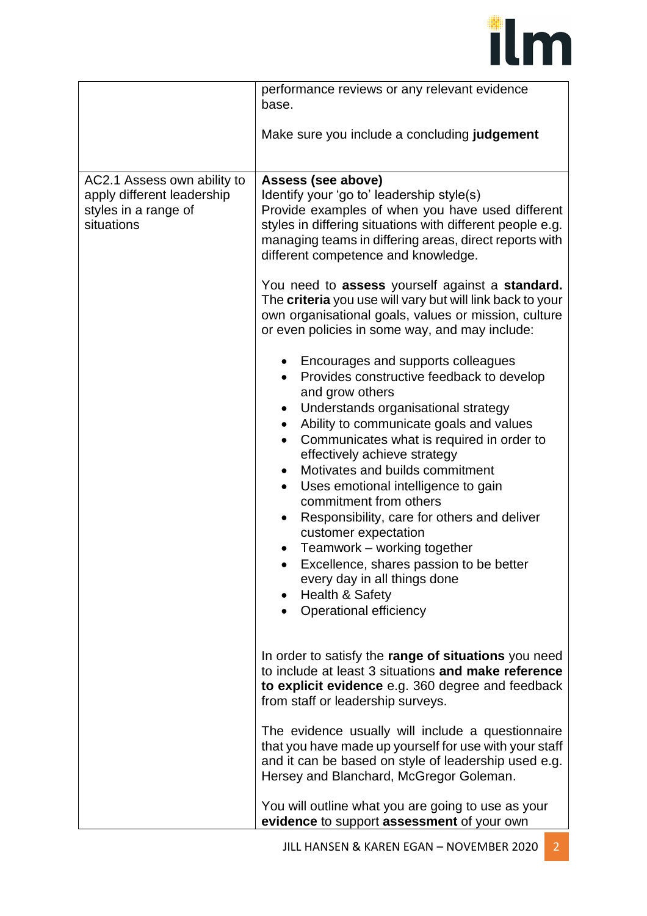

|                                                                                                 | performance reviews or any relevant evidence<br>base.                                                                                                                                                                                                                                                                                                                                                                                                                                                                                                                                          |
|-------------------------------------------------------------------------------------------------|------------------------------------------------------------------------------------------------------------------------------------------------------------------------------------------------------------------------------------------------------------------------------------------------------------------------------------------------------------------------------------------------------------------------------------------------------------------------------------------------------------------------------------------------------------------------------------------------|
|                                                                                                 | Make sure you include a concluding judgement                                                                                                                                                                                                                                                                                                                                                                                                                                                                                                                                                   |
| AC2.1 Assess own ability to<br>apply different leadership<br>styles in a range of<br>situations | Assess (see above)<br>Identify your 'go to' leadership style(s)<br>Provide examples of when you have used different<br>styles in differing situations with different people e.g.<br>managing teams in differing areas, direct reports with<br>different competence and knowledge.<br>You need to assess yourself against a standard.<br>The criteria you use will vary but will link back to your<br>own organisational goals, values or mission, culture<br>or even policies in some way, and may include:<br>Encourages and supports colleagues<br>Provides constructive feedback to develop |
|                                                                                                 | and grow others<br>Understands organisational strategy<br>٠<br>Ability to communicate goals and values<br>$\bullet$<br>Communicates what is required in order to<br>effectively achieve strategy<br>Motivates and builds commitment<br>$\bullet$<br>Uses emotional intelligence to gain<br>$\bullet$<br>commitment from others<br>Responsibility, care for others and deliver<br>customer expectation<br>Teamwork - working together<br>Excellence, shares passion to be better<br>every day in all things done<br>Health & Safety<br>Operational efficiency                                   |
|                                                                                                 | In order to satisfy the range of situations you need<br>to include at least 3 situations and make reference<br>to explicit evidence e.g. 360 degree and feedback<br>from staff or leadership surveys.                                                                                                                                                                                                                                                                                                                                                                                          |
|                                                                                                 | The evidence usually will include a questionnaire<br>that you have made up yourself for use with your staff<br>and it can be based on style of leadership used e.g.<br>Hersey and Blanchard, McGregor Goleman.                                                                                                                                                                                                                                                                                                                                                                                 |
|                                                                                                 | You will outline what you are going to use as your<br>evidence to support assessment of your own                                                                                                                                                                                                                                                                                                                                                                                                                                                                                               |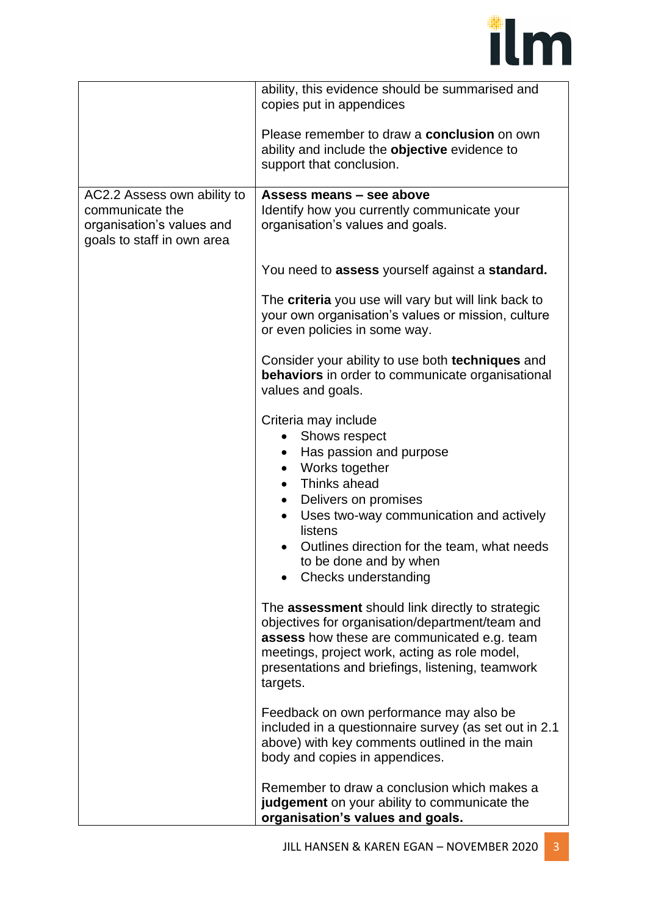## ilm

|                                                                                                           | ability, this evidence should be summarised and<br>copies put in appendices                                                                                                                                                                                                                                                             |
|-----------------------------------------------------------------------------------------------------------|-----------------------------------------------------------------------------------------------------------------------------------------------------------------------------------------------------------------------------------------------------------------------------------------------------------------------------------------|
|                                                                                                           | Please remember to draw a <b>conclusion</b> on own<br>ability and include the objective evidence to<br>support that conclusion.                                                                                                                                                                                                         |
| AC2.2 Assess own ability to<br>communicate the<br>organisation's values and<br>goals to staff in own area | Assess means - see above<br>Identify how you currently communicate your<br>organisation's values and goals.                                                                                                                                                                                                                             |
|                                                                                                           | You need to assess yourself against a standard.                                                                                                                                                                                                                                                                                         |
|                                                                                                           | The criteria you use will vary but will link back to<br>your own organisation's values or mission, culture<br>or even policies in some way.                                                                                                                                                                                             |
|                                                                                                           | Consider your ability to use both techniques and<br><b>behaviors</b> in order to communicate organisational<br>values and goals.                                                                                                                                                                                                        |
|                                                                                                           | Criteria may include<br>• Shows respect<br>Has passion and purpose<br>$\bullet$<br>Works together<br>$\bullet$<br>Thinks ahead<br>$\bullet$<br>Delivers on promises<br>$\bullet$<br>Uses two-way communication and actively<br>listens<br>Outlines direction for the team, what needs<br>to be done and by when<br>Checks understanding |
|                                                                                                           | The assessment should link directly to strategic<br>objectives for organisation/department/team and<br>assess how these are communicated e.g. team<br>meetings, project work, acting as role model,<br>presentations and briefings, listening, teamwork<br>targets.                                                                     |
|                                                                                                           | Feedback on own performance may also be<br>included in a questionnaire survey (as set out in 2.1<br>above) with key comments outlined in the main<br>body and copies in appendices.                                                                                                                                                     |
|                                                                                                           | Remember to draw a conclusion which makes a<br>judgement on your ability to communicate the<br>organisation's values and goals.                                                                                                                                                                                                         |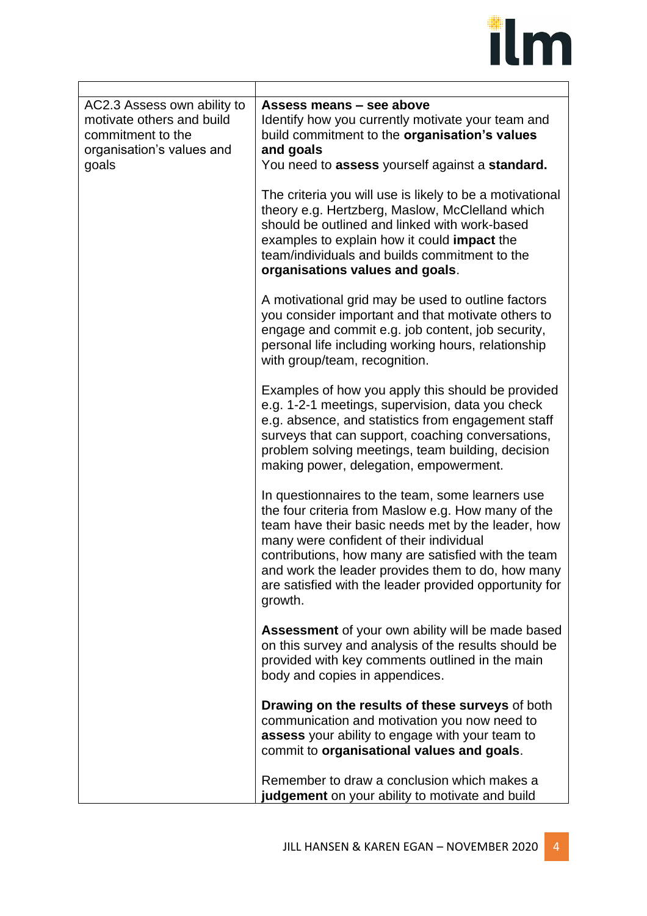## ilm

| AC2.3 Assess own ability to<br>motivate others and build<br>commitment to the<br>organisation's values and | Assess means - see above<br>Identify how you currently motivate your team and<br>build commitment to the organisation's values<br>and goals                                                                                                                                                                                                                                              |
|------------------------------------------------------------------------------------------------------------|------------------------------------------------------------------------------------------------------------------------------------------------------------------------------------------------------------------------------------------------------------------------------------------------------------------------------------------------------------------------------------------|
| goals                                                                                                      | You need to assess yourself against a standard.                                                                                                                                                                                                                                                                                                                                          |
|                                                                                                            | The criteria you will use is likely to be a motivational<br>theory e.g. Hertzberg, Maslow, McClelland which<br>should be outlined and linked with work-based<br>examples to explain how it could impact the<br>team/individuals and builds commitment to the<br>organisations values and goals.                                                                                          |
|                                                                                                            | A motivational grid may be used to outline factors<br>you consider important and that motivate others to<br>engage and commit e.g. job content, job security,<br>personal life including working hours, relationship<br>with group/team, recognition.                                                                                                                                    |
|                                                                                                            | Examples of how you apply this should be provided<br>e.g. 1-2-1 meetings, supervision, data you check<br>e.g. absence, and statistics from engagement staff<br>surveys that can support, coaching conversations,<br>problem solving meetings, team building, decision<br>making power, delegation, empowerment.                                                                          |
|                                                                                                            | In questionnaires to the team, some learners use<br>the four criteria from Maslow e.g. How many of the<br>team have their basic needs met by the leader, how<br>many were confident of their individual<br>contributions, how many are satisfied with the team<br>and work the leader provides them to do, how many<br>are satisfied with the leader provided opportunity for<br>growth. |
|                                                                                                            | <b>Assessment</b> of your own ability will be made based<br>on this survey and analysis of the results should be<br>provided with key comments outlined in the main<br>body and copies in appendices.                                                                                                                                                                                    |
|                                                                                                            | Drawing on the results of these surveys of both<br>communication and motivation you now need to<br>assess your ability to engage with your team to<br>commit to organisational values and goals.                                                                                                                                                                                         |
|                                                                                                            | Remember to draw a conclusion which makes a<br>judgement on your ability to motivate and build                                                                                                                                                                                                                                                                                           |